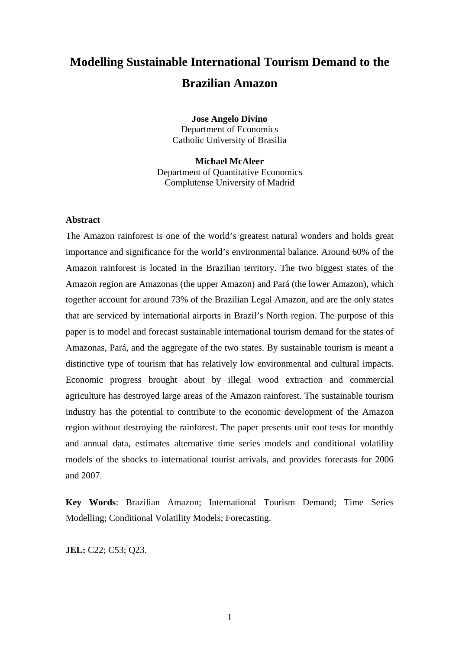# **Modelling Sustainable International Tourism Demand to the Brazilian Amazon**

**Jose Angelo Divino**  Department of Economics Catholic University of Brasilia

**Michael McAleer**  Department of Quantitative Economics Complutense University of Madrid

#### **Abstract**

The Amazon rainforest is one of the world's greatest natural wonders and holds great importance and significance for the world's environmental balance. Around 60% of the Amazon rainforest is located in the Brazilian territory. The two biggest states of the Amazon region are Amazonas (the upper Amazon) and Pará (the lower Amazon), which together account for around 73% of the Brazilian Legal Amazon, and are the only states that are serviced by international airports in Brazil's North region. The purpose of this paper is to model and forecast sustainable international tourism demand for the states of Amazonas, Pará, and the aggregate of the two states. By sustainable tourism is meant a distinctive type of tourism that has relatively low environmental and cultural impacts. Economic progress brought about by illegal wood extraction and commercial agriculture has destroyed large areas of the Amazon rainforest. The sustainable tourism industry has the potential to contribute to the economic development of the Amazon region without destroying the rainforest. The paper presents unit root tests for monthly and annual data, estimates alternative time series models and conditional volatility models of the shocks to international tourist arrivals, and provides forecasts for 2006 and 2007.

**Key Words**: Brazilian Amazon; International Tourism Demand; Time Series Modelling; Conditional Volatility Models; Forecasting.

**JEL:** C22; C53; Q23.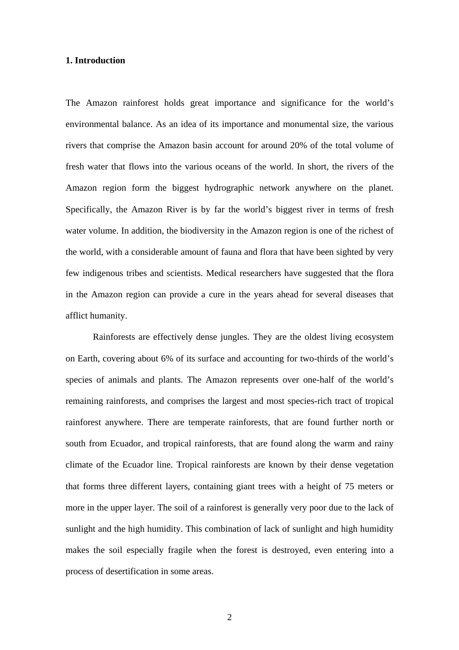### **1. Introduction**

The Amazon rainforest holds great importance and significance for the world's environmental balance. As an idea of its importance and monumental size, the various rivers that comprise the Amazon basin account for around 20% of the total volume of fresh water that flows into the various oceans of the world. In short, the rivers of the Amazon region form the biggest hydrographic network anywhere on the planet. Specifically, the Amazon River is by far the world's biggest river in terms of fresh water volume. In addition, the biodiversity in the Amazon region is one of the richest of the world, with a considerable amount of fauna and flora that have been sighted by very few indigenous tribes and scientists. Medical researchers have suggested that the flora in the Amazon region can provide a cure in the years ahead for several diseases that afflict humanity.

Rainforests are effectively dense jungles. They are the oldest living ecosystem on Earth, covering about 6% of its surface and accounting for two-thirds of the world's species of animals and plants. The Amazon represents over one-half of the world's remaining rainforests, and comprises the largest and most species-rich tract of tropical rainforest anywhere. There are temperate rainforests, that are found further north or south from Ecuador, and tropical rainforests, that are found along the warm and rainy climate of the Ecuador line. Tropical rainforests are known by their dense vegetation that forms three different layers, containing giant trees with a height of 75 meters or more in the upper layer. The soil of a rainforest is generally very poor due to the lack of sunlight and the high humidity. This combination of lack of sunlight and high humidity makes the soil especially fragile when the forest is destroyed, even entering into a process of desertification in some areas.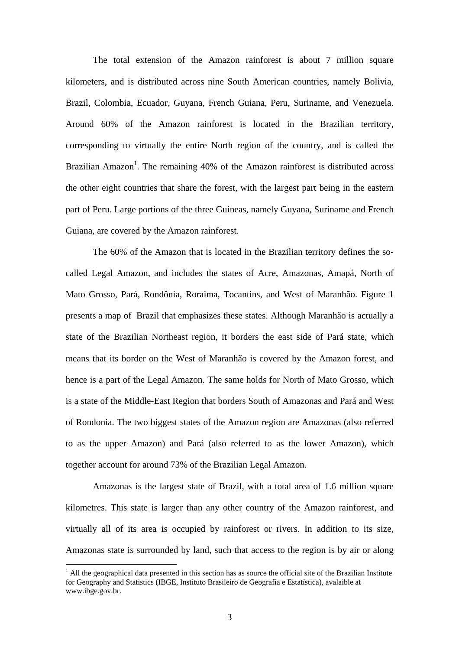The total extension of the Amazon rainforest is about 7 million square kilometers, and is distributed across nine South American countries, namely Bolivia, Brazil, Colombia, Ecuador, Guyana, French Guiana, Peru, Suriname, and Venezuela. Around 60% of the Amazon rainforest is located in the Brazilian territory, corresponding to virtually the entire North region of the country, and is called the Brazilian Amazon<sup>1</sup>. The remaining 40% of the Amazon rainforest is distributed across the other eight countries that share the forest, with the largest part being in the eastern part of Peru. Large portions of the three Guineas, namely Guyana, Suriname and French Guiana, are covered by the Amazon rainforest.

The 60% of the Amazon that is located in the Brazilian territory defines the socalled Legal Amazon, and includes the states of Acre, Amazonas, Amapá, North of Mato Grosso, Pará, Rondônia, Roraima, Tocantins, and West of Maranhão. Figure 1 presents a map of Brazil that emphasizes these states. Although Maranhão is actually a state of the Brazilian Northeast region, it borders the east side of Pará state, which means that its border on the West of Maranhão is covered by the Amazon forest, and hence is a part of the Legal Amazon. The same holds for North of Mato Grosso, which is a state of the Middle-East Region that borders South of Amazonas and Pará and West of Rondonia. The two biggest states of the Amazon region are Amazonas (also referred to as the upper Amazon) and Pará (also referred to as the lower Amazon), which together account for around 73% of the Brazilian Legal Amazon.

Amazonas is the largest state of Brazil, with a total area of 1.6 million square kilometres. This state is larger than any other country of the Amazon rainforest, and virtually all of its area is occupied by rainforest or rivers. In addition to its size, Amazonas state is surrounded by land, such that access to the region is by air or along

 $\overline{a}$ 

 $<sup>1</sup>$  All the geographical data presented in this section has as source the official site of the Brazilian Institute</sup> for Geography and Statistics (IBGE, Instituto Brasileiro de Geografia e Estatística), avalaible at www.ibge.gov.br.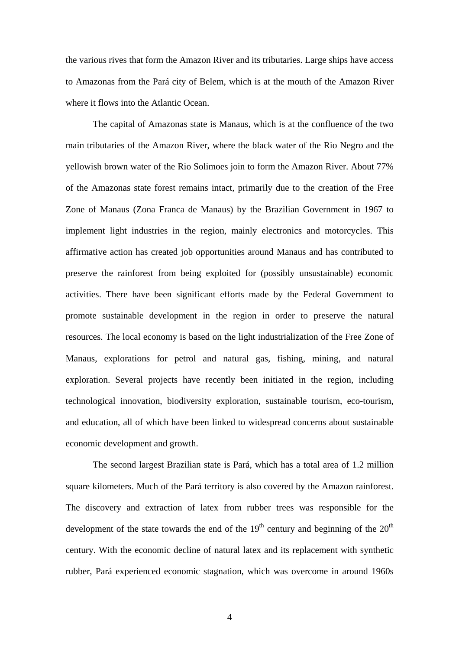the various rives that form the Amazon River and its tributaries. Large ships have access to Amazonas from the Pará city of Belem, which is at the mouth of the Amazon River where it flows into the Atlantic Ocean.

The capital of Amazonas state is Manaus, which is at the confluence of the two main tributaries of the Amazon River, where the black water of the Rio Negro and the yellowish brown water of the Rio Solimoes join to form the Amazon River. About 77% of the Amazonas state forest remains intact, primarily due to the creation of the Free Zone of Manaus (Zona Franca de Manaus) by the Brazilian Government in 1967 to implement light industries in the region, mainly electronics and motorcycles. This affirmative action has created job opportunities around Manaus and has contributed to preserve the rainforest from being exploited for (possibly unsustainable) economic activities. There have been significant efforts made by the Federal Government to promote sustainable development in the region in order to preserve the natural resources. The local economy is based on the light industrialization of the Free Zone of Manaus, explorations for petrol and natural gas, fishing, mining, and natural exploration. Several projects have recently been initiated in the region, including technological innovation, biodiversity exploration, sustainable tourism, eco-tourism, and education, all of which have been linked to widespread concerns about sustainable economic development and growth.

The second largest Brazilian state is Pará, which has a total area of 1.2 million square kilometers. Much of the Pará territory is also covered by the Amazon rainforest. The discovery and extraction of latex from rubber trees was responsible for the development of the state towards the end of the  $19<sup>th</sup>$  century and beginning of the  $20<sup>th</sup>$ century. With the economic decline of natural latex and its replacement with synthetic rubber, Pará experienced economic stagnation, which was overcome in around 1960s

4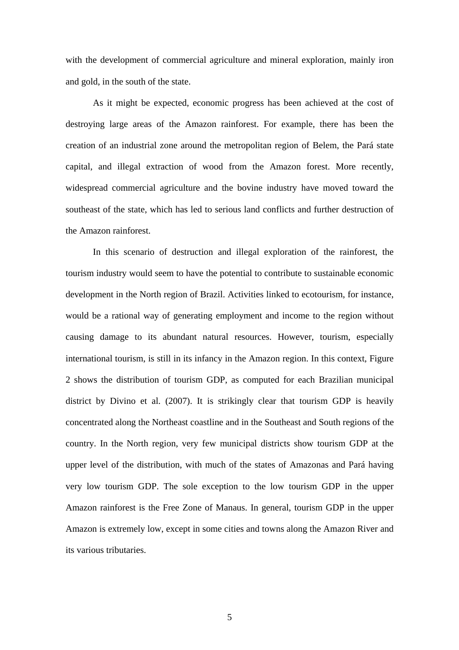with the development of commercial agriculture and mineral exploration, mainly iron and gold, in the south of the state.

As it might be expected, economic progress has been achieved at the cost of destroying large areas of the Amazon rainforest. For example, there has been the creation of an industrial zone around the metropolitan region of Belem, the Pará state capital, and illegal extraction of wood from the Amazon forest. More recently, widespread commercial agriculture and the bovine industry have moved toward the southeast of the state, which has led to serious land conflicts and further destruction of the Amazon rainforest.

In this scenario of destruction and illegal exploration of the rainforest, the tourism industry would seem to have the potential to contribute to sustainable economic development in the North region of Brazil. Activities linked to ecotourism, for instance, would be a rational way of generating employment and income to the region without causing damage to its abundant natural resources. However, tourism, especially international tourism, is still in its infancy in the Amazon region. In this context, Figure 2 shows the distribution of tourism GDP, as computed for each Brazilian municipal district by Divino et al. (2007). It is strikingly clear that tourism GDP is heavily concentrated along the Northeast coastline and in the Southeast and South regions of the country. In the North region, very few municipal districts show tourism GDP at the upper level of the distribution, with much of the states of Amazonas and Pará having very low tourism GDP. The sole exception to the low tourism GDP in the upper Amazon rainforest is the Free Zone of Manaus. In general, tourism GDP in the upper Amazon is extremely low, except in some cities and towns along the Amazon River and its various tributaries.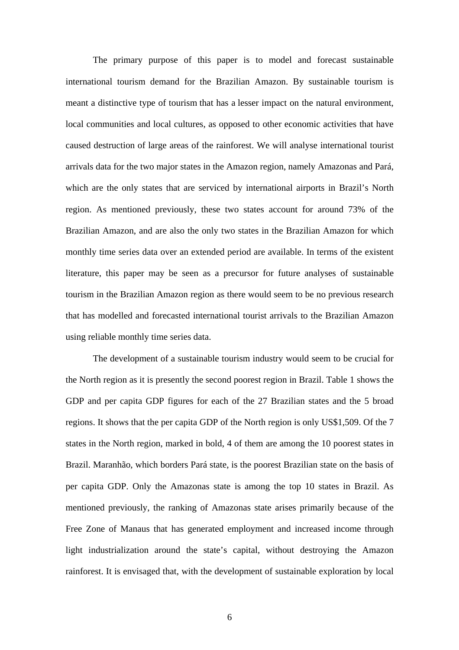The primary purpose of this paper is to model and forecast sustainable international tourism demand for the Brazilian Amazon. By sustainable tourism is meant a distinctive type of tourism that has a lesser impact on the natural environment, local communities and local cultures, as opposed to other economic activities that have caused destruction of large areas of the rainforest. We will analyse international tourist arrivals data for the two major states in the Amazon region, namely Amazonas and Pará, which are the only states that are serviced by international airports in Brazil's North region. As mentioned previously, these two states account for around 73% of the Brazilian Amazon, and are also the only two states in the Brazilian Amazon for which monthly time series data over an extended period are available. In terms of the existent literature, this paper may be seen as a precursor for future analyses of sustainable tourism in the Brazilian Amazon region as there would seem to be no previous research that has modelled and forecasted international tourist arrivals to the Brazilian Amazon using reliable monthly time series data.

The development of a sustainable tourism industry would seem to be crucial for the North region as it is presently the second poorest region in Brazil. Table 1 shows the GDP and per capita GDP figures for each of the 27 Brazilian states and the 5 broad regions. It shows that the per capita GDP of the North region is only US\$1,509. Of the 7 states in the North region, marked in bold, 4 of them are among the 10 poorest states in Brazil. Maranhão, which borders Pará state, is the poorest Brazilian state on the basis of per capita GDP. Only the Amazonas state is among the top 10 states in Brazil. As mentioned previously, the ranking of Amazonas state arises primarily because of the Free Zone of Manaus that has generated employment and increased income through light industrialization around the state's capital, without destroying the Amazon rainforest. It is envisaged that, with the development of sustainable exploration by local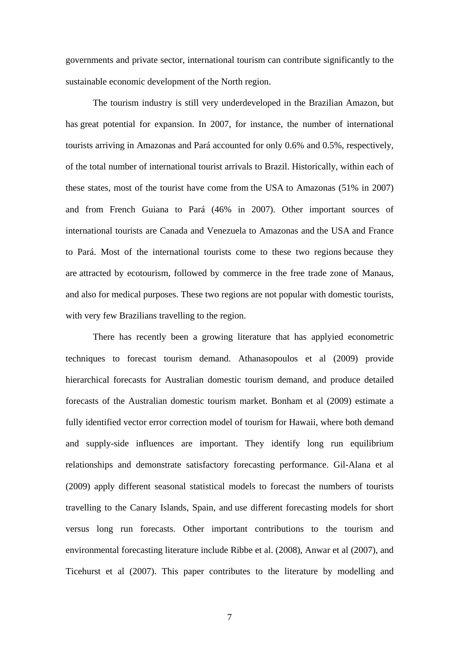governments and private sector, international tourism can contribute significantly to the sustainable economic development of the North region.

The tourism industry is still very underdeveloped in the Brazilian Amazon, but has great potential for expansion. In 2007, for instance, the number of international tourists arriving in Amazonas and Pará accounted for only 0.6% and 0.5%, respectively, of the total number of international tourist arrivals to Brazil. Historically, within each of these states, most of the tourist have come from the USA to Amazonas (51% in 2007) and from French Guiana to Pará (46% in 2007). Other important sources of international tourists are Canada and Venezuela to Amazonas and the USA and France to Pará. Most of the international tourists come to these two regions because they are attracted by ecotourism, followed by commerce in the free trade zone of Manaus, and also for medical purposes. These two regions are not popular with domestic tourists, with very few Brazilians travelling to the region.

There has recently been a growing literature that has applyied econometric techniques to forecast tourism demand. Athanasopoulos et al (2009) provide hierarchical forecasts for Australian domestic tourism demand, and produce detailed forecasts of the Australian domestic tourism market. Bonham et al (2009) estimate a fully identified vector error correction model of tourism for Hawaii, where both demand and supply-side influences are important. They identify long run equilibrium relationships and demonstrate satisfactory forecasting performance. Gil-Alana et al (2009) apply different seasonal statistical models to forecast the numbers of tourists travelling to the Canary Islands, Spain, and use different forecasting models for short versus long run forecasts. Other important contributions to the tourism and environmental forecasting literature include Ribbe et al. (2008), Anwar et al (2007), and Ticehurst et al (2007). This paper contributes to the literature by modelling and

7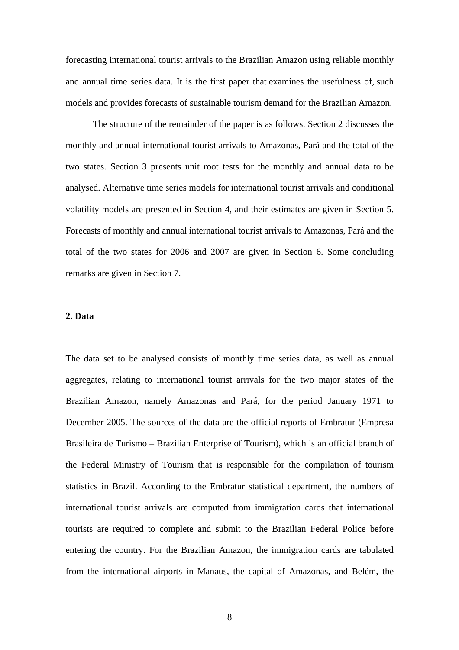forecasting international tourist arrivals to the Brazilian Amazon using reliable monthly and annual time series data. It is the first paper that examines the usefulness of, such models and provides forecasts of sustainable tourism demand for the Brazilian Amazon.

The structure of the remainder of the paper is as follows. Section 2 discusses the monthly and annual international tourist arrivals to Amazonas, Pará and the total of the two states. Section 3 presents unit root tests for the monthly and annual data to be analysed. Alternative time series models for international tourist arrivals and conditional volatility models are presented in Section 4, and their estimates are given in Section 5. Forecasts of monthly and annual international tourist arrivals to Amazonas, Pará and the total of the two states for 2006 and 2007 are given in Section 6. Some concluding remarks are given in Section 7.

#### **2. Data**

The data set to be analysed consists of monthly time series data, as well as annual aggregates, relating to international tourist arrivals for the two major states of the Brazilian Amazon, namely Amazonas and Pará, for the period January 1971 to December 2005. The sources of the data are the official reports of Embratur (Empresa Brasileira de Turismo – Brazilian Enterprise of Tourism), which is an official branch of the Federal Ministry of Tourism that is responsible for the compilation of tourism statistics in Brazil. According to the Embratur statistical department, the numbers of international tourist arrivals are computed from immigration cards that international tourists are required to complete and submit to the Brazilian Federal Police before entering the country. For the Brazilian Amazon, the immigration cards are tabulated from the international airports in Manaus, the capital of Amazonas, and Belém, the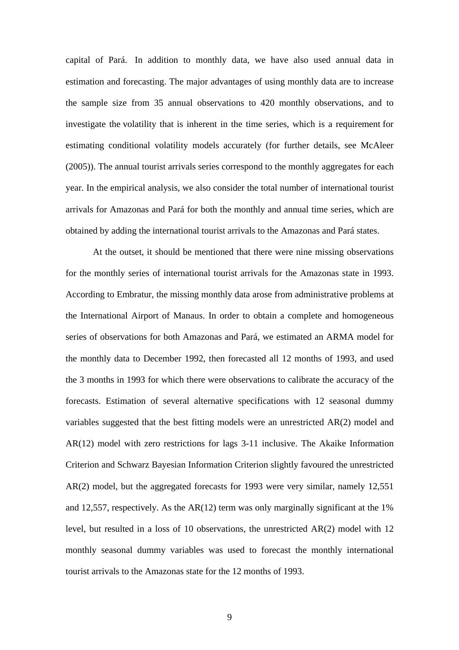capital of Pará. In addition to monthly data, we have also used annual data in estimation and forecasting. The major advantages of using monthly data are to increase the sample size from 35 annual observations to 420 monthly observations, and to investigate the volatility that is inherent in the time series, which is a requirement for estimating conditional volatility models accurately (for further details, see McAleer (2005)). The annual tourist arrivals series correspond to the monthly aggregates for each year. In the empirical analysis, we also consider the total number of international tourist arrivals for Amazonas and Pará for both the monthly and annual time series, which are obtained by adding the international tourist arrivals to the Amazonas and Pará states.

At the outset, it should be mentioned that there were nine missing observations for the monthly series of international tourist arrivals for the Amazonas state in 1993. According to Embratur, the missing monthly data arose from administrative problems at the International Airport of Manaus. In order to obtain a complete and homogeneous series of observations for both Amazonas and Pará, we estimated an ARMA model for the monthly data to December 1992, then forecasted all 12 months of 1993, and used the 3 months in 1993 for which there were observations to calibrate the accuracy of the forecasts. Estimation of several alternative specifications with 12 seasonal dummy variables suggested that the best fitting models were an unrestricted AR(2) model and AR(12) model with zero restrictions for lags 3-11 inclusive. The Akaike Information Criterion and Schwarz Bayesian Information Criterion slightly favoured the unrestricted AR(2) model, but the aggregated forecasts for 1993 were very similar, namely 12,551 and 12,557, respectively. As the AR(12) term was only marginally significant at the 1% level, but resulted in a loss of 10 observations, the unrestricted AR(2) model with 12 monthly seasonal dummy variables was used to forecast the monthly international tourist arrivals to the Amazonas state for the 12 months of 1993.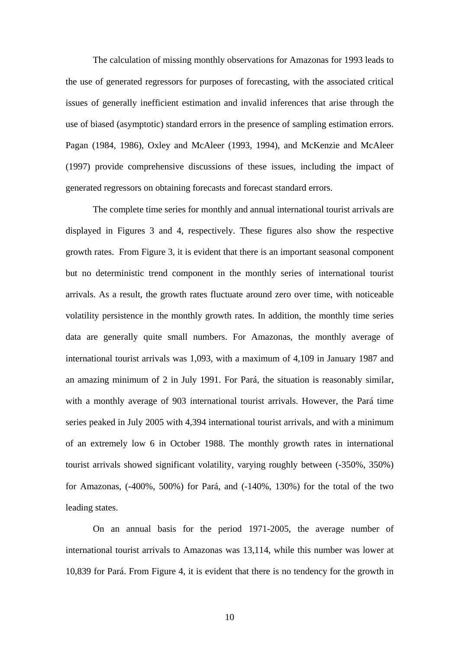The calculation of missing monthly observations for Amazonas for 1993 leads to the use of generated regressors for purposes of forecasting, with the associated critical issues of generally inefficient estimation and invalid inferences that arise through the use of biased (asymptotic) standard errors in the presence of sampling estimation errors. Pagan (1984, 1986), Oxley and McAleer (1993, 1994), and McKenzie and McAleer (1997) provide comprehensive discussions of these issues, including the impact of generated regressors on obtaining forecasts and forecast standard errors.

The complete time series for monthly and annual international tourist arrivals are displayed in Figures 3 and 4, respectively. These figures also show the respective growth rates. From Figure 3, it is evident that there is an important seasonal component but no deterministic trend component in the monthly series of international tourist arrivals. As a result, the growth rates fluctuate around zero over time, with noticeable volatility persistence in the monthly growth rates. In addition, the monthly time series data are generally quite small numbers. For Amazonas, the monthly average of international tourist arrivals was 1,093, with a maximum of 4,109 in January 1987 and an amazing minimum of 2 in July 1991. For Pará, the situation is reasonably similar, with a monthly average of 903 international tourist arrivals. However, the Pará time series peaked in July 2005 with 4,394 international tourist arrivals, and with a minimum of an extremely low 6 in October 1988. The monthly growth rates in international tourist arrivals showed significant volatility, varying roughly between (-350%, 350%) for Amazonas, (-400%, 500%) for Pará, and (-140%, 130%) for the total of the two leading states.

On an annual basis for the period 1971-2005, the average number of international tourist arrivals to Amazonas was 13,114, while this number was lower at 10,839 for Pará. From Figure 4, it is evident that there is no tendency for the growth in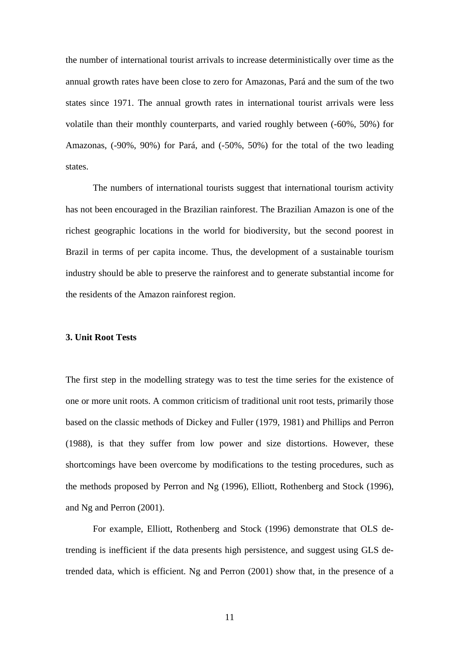the number of international tourist arrivals to increase deterministically over time as the annual growth rates have been close to zero for Amazonas, Pará and the sum of the two states since 1971. The annual growth rates in international tourist arrivals were less volatile than their monthly counterparts, and varied roughly between (-60%, 50%) for Amazonas, (-90%, 90%) for Pará, and (-50%, 50%) for the total of the two leading states.

The numbers of international tourists suggest that international tourism activity has not been encouraged in the Brazilian rainforest. The Brazilian Amazon is one of the richest geographic locations in the world for biodiversity, but the second poorest in Brazil in terms of per capita income. Thus, the development of a sustainable tourism industry should be able to preserve the rainforest and to generate substantial income for the residents of the Amazon rainforest region.

#### **3. Unit Root Tests**

The first step in the modelling strategy was to test the time series for the existence of one or more unit roots. A common criticism of traditional unit root tests, primarily those based on the classic methods of Dickey and Fuller (1979, 1981) and Phillips and Perron (1988), is that they suffer from low power and size distortions. However, these shortcomings have been overcome by modifications to the testing procedures, such as the methods proposed by Perron and Ng (1996), Elliott, Rothenberg and Stock (1996), and Ng and Perron (2001).

 For example, Elliott, Rothenberg and Stock (1996) demonstrate that OLS detrending is inefficient if the data presents high persistence, and suggest using GLS detrended data, which is efficient. Ng and Perron (2001) show that, in the presence of a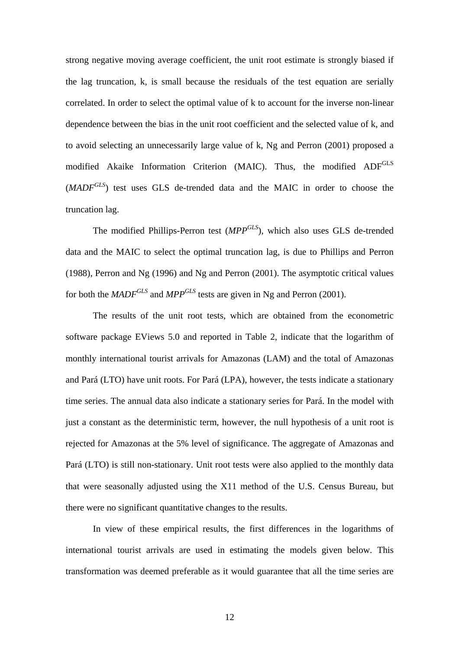strong negative moving average coefficient, the unit root estimate is strongly biased if the lag truncation, k, is small because the residuals of the test equation are serially correlated. In order to select the optimal value of k to account for the inverse non-linear dependence between the bias in the unit root coefficient and the selected value of k, and to avoid selecting an unnecessarily large value of k, Ng and Perron (2001) proposed a modified Akaike Information Criterion (MAIC). Thus, the modified ADF<sup>GLS</sup> (*MADFGLS*) test uses GLS de-trended data and the MAIC in order to choose the truncation lag.

The modified Phillips-Perron test (*MPPGLS*), which also uses GLS de-trended data and the MAIC to select the optimal truncation lag, is due to Phillips and Perron (1988), Perron and Ng (1996) and Ng and Perron (2001). The asymptotic critical values for both the *MADFGLS* and *MPPGLS* tests are given in Ng and Perron (2001).

The results of the unit root tests, which are obtained from the econometric software package EViews 5.0 and reported in Table 2, indicate that the logarithm of monthly international tourist arrivals for Amazonas (LAM) and the total of Amazonas and Pará (LTO) have unit roots. For Pará (LPA), however, the tests indicate a stationary time series. The annual data also indicate a stationary series for Pará. In the model with just a constant as the deterministic term, however, the null hypothesis of a unit root is rejected for Amazonas at the 5% level of significance. The aggregate of Amazonas and Pará (LTO) is still non-stationary. Unit root tests were also applied to the monthly data that were seasonally adjusted using the X11 method of the U.S. Census Bureau, but there were no significant quantitative changes to the results.

In view of these empirical results, the first differences in the logarithms of international tourist arrivals are used in estimating the models given below. This transformation was deemed preferable as it would guarantee that all the time series are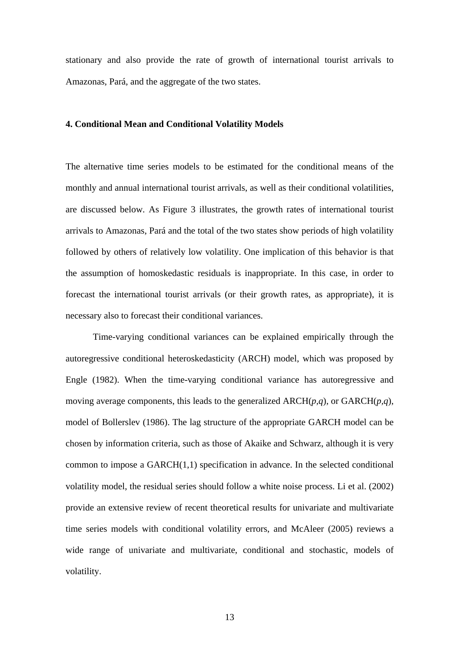stationary and also provide the rate of growth of international tourist arrivals to Amazonas, Pará, and the aggregate of the two states.

# **4. Conditional Mean and Conditional Volatility Models**

The alternative time series models to be estimated for the conditional means of the monthly and annual international tourist arrivals, as well as their conditional volatilities, are discussed below. As Figure 3 illustrates, the growth rates of international tourist arrivals to Amazonas, Pará and the total of the two states show periods of high volatility followed by others of relatively low volatility. One implication of this behavior is that the assumption of homoskedastic residuals is inappropriate. In this case, in order to forecast the international tourist arrivals (or their growth rates, as appropriate), it is necessary also to forecast their conditional variances.

Time-varying conditional variances can be explained empirically through the autoregressive conditional heteroskedasticity (ARCH) model, which was proposed by Engle (1982). When the time-varying conditional variance has autoregressive and moving average components, this leads to the generalized ARCH(*p,q*), or GARCH(*p,q*), model of Bollerslev (1986). The lag structure of the appropriate GARCH model can be chosen by information criteria, such as those of Akaike and Schwarz, although it is very common to impose a GARCH(1,1) specification in advance. In the selected conditional volatility model, the residual series should follow a white noise process. Li et al. (2002) provide an extensive review of recent theoretical results for univariate and multivariate time series models with conditional volatility errors, and McAleer (2005) reviews a wide range of univariate and multivariate, conditional and stochastic, models of volatility.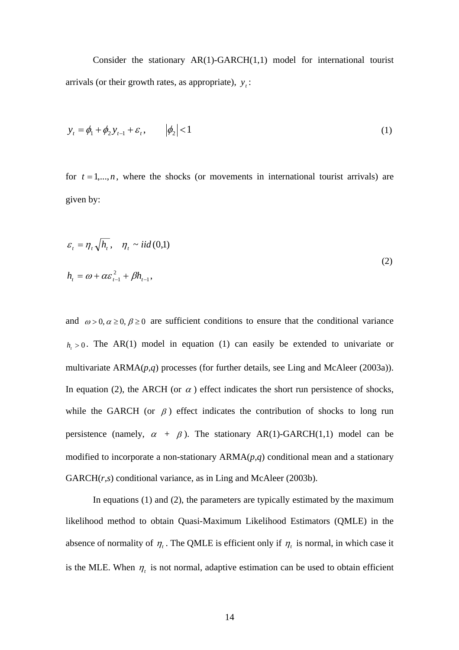Consider the stationary AR(1)-GARCH(1,1) model for international tourist arrivals (or their growth rates, as appropriate),  $y_i$ :

$$
y_t = \phi_1 + \phi_2 y_{t-1} + \varepsilon_t, \qquad |\phi_2| < 1 \tag{1}
$$

for  $t = 1, \ldots, n$ , where the shocks (or movements in international tourist arrivals) are given by:

$$
\varepsilon_{t} = \eta_{t} \sqrt{h_{t}}, \quad \eta_{t} \sim \text{iid}(0,1)
$$
\n
$$
h_{t} = \omega + \alpha \varepsilon_{t-1}^{2} + \beta h_{t-1},
$$
\n(2)

and  $\omega > 0$ ,  $\alpha \ge 0$ ,  $\beta \ge 0$  are sufficient conditions to ensure that the conditional variance  $h_1 > 0$ . The AR(1) model in equation (1) can easily be extended to univariate or multivariate ARMA(*p,q*) processes (for further details, see Ling and McAleer (2003a)). In equation (2), the ARCH (or  $\alpha$ ) effect indicates the short run persistence of shocks, while the GARCH (or  $\beta$ ) effect indicates the contribution of shocks to long run persistence (namely,  $\alpha + \beta$ ). The stationary AR(1)-GARCH(1,1) model can be modified to incorporate a non-stationary ARMA(*p,q*) conditional mean and a stationary GARCH(*r,s*) conditional variance, as in Ling and McAleer (2003b).

In equations (1) and (2), the parameters are typically estimated by the maximum likelihood method to obtain Quasi-Maximum Likelihood Estimators (QMLE) in the absence of normality of  $\eta$ . The QMLE is efficient only if  $\eta$ <sub>t</sub> is normal, in which case it is the MLE. When  $\eta_t$  is not normal, adaptive estimation can be used to obtain efficient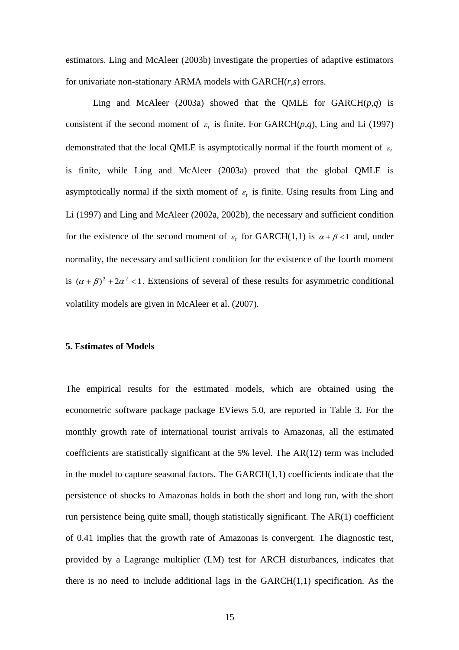estimators. Ling and McAleer (2003b) investigate the properties of adaptive estimators for univariate non-stationary ARMA models with GARCH(*r,s*) errors.

Ling and McAleer (2003a) showed that the QMLE for  $GARCH(p,q)$  is consistent if the second moment of  $\varepsilon$  is finite. For GARCH( $p,q$ ), Ling and Li (1997) demonstrated that the local QMLE is asymptotically normal if the fourth moment of  $\varepsilon_t$ is finite, while Ling and McAleer (2003a) proved that the global QMLE is asymptotically normal if the sixth moment of  $\varepsilon$  is finite. Using results from Ling and Li (1997) and Ling and McAleer (2002a, 2002b), the necessary and sufficient condition for the existence of the second moment of  $\varepsilon_t$  for GARCH(1,1) is  $\alpha + \beta < 1$  and, under normality, the necessary and sufficient condition for the existence of the fourth moment is  $(\alpha + \beta)^2 + 2\alpha^2 < 1$ . Extensions of several of these results for asymmetric conditional volatility models are given in McAleer et al. (2007).

#### **5. Estimates of Models**

The empirical results for the estimated models, which are obtained using the econometric software package package EViews 5.0, are reported in Table 3. For the monthly growth rate of international tourist arrivals to Amazonas, all the estimated coefficients are statistically significant at the 5% level. The AR(12) term was included in the model to capture seasonal factors. The  $GARCH(1,1)$  coefficients indicate that the persistence of shocks to Amazonas holds in both the short and long run, with the short run persistence being quite small, though statistically significant. The AR(1) coefficient of 0.41 implies that the growth rate of Amazonas is convergent. The diagnostic test, provided by a Lagrange multiplier (LM) test for ARCH disturbances, indicates that there is no need to include additional lags in the  $GARCH(1,1)$  specification. As the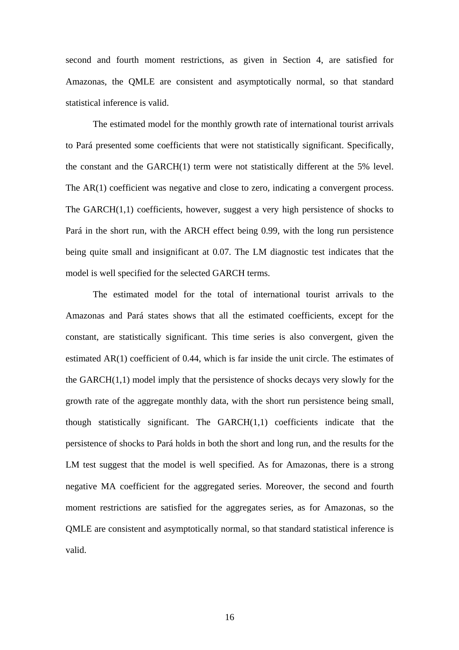second and fourth moment restrictions, as given in Section 4, are satisfied for Amazonas, the QMLE are consistent and asymptotically normal, so that standard statistical inference is valid.

The estimated model for the monthly growth rate of international tourist arrivals to Pará presented some coefficients that were not statistically significant. Specifically, the constant and the GARCH(1) term were not statistically different at the 5% level. The AR(1) coefficient was negative and close to zero, indicating a convergent process. The GARCH(1,1) coefficients, however, suggest a very high persistence of shocks to Pará in the short run, with the ARCH effect being 0.99, with the long run persistence being quite small and insignificant at 0.07. The LM diagnostic test indicates that the model is well specified for the selected GARCH terms.

The estimated model for the total of international tourist arrivals to the Amazonas and Pará states shows that all the estimated coefficients, except for the constant, are statistically significant. This time series is also convergent, given the estimated AR(1) coefficient of 0.44, which is far inside the unit circle. The estimates of the GARCH(1,1) model imply that the persistence of shocks decays very slowly for the growth rate of the aggregate monthly data, with the short run persistence being small, though statistically significant. The GARCH(1,1) coefficients indicate that the persistence of shocks to Pará holds in both the short and long run, and the results for the LM test suggest that the model is well specified. As for Amazonas, there is a strong negative MA coefficient for the aggregated series. Moreover, the second and fourth moment restrictions are satisfied for the aggregates series, as for Amazonas, so the QMLE are consistent and asymptotically normal, so that standard statistical inference is valid.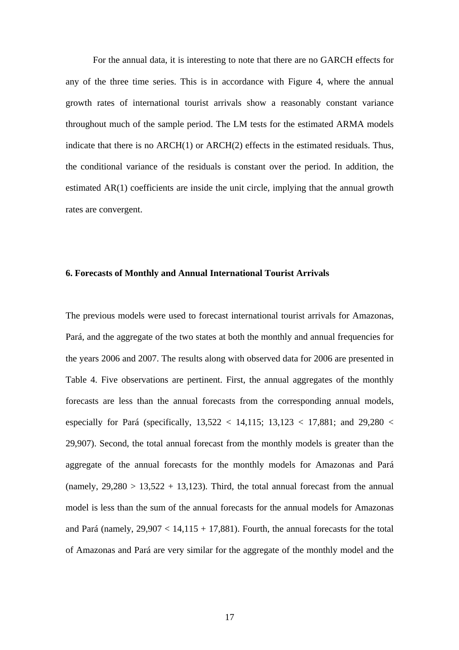For the annual data, it is interesting to note that there are no GARCH effects for any of the three time series. This is in accordance with Figure 4, where the annual growth rates of international tourist arrivals show a reasonably constant variance throughout much of the sample period. The LM tests for the estimated ARMA models indicate that there is no ARCH(1) or ARCH(2) effects in the estimated residuals. Thus, the conditional variance of the residuals is constant over the period. In addition, the estimated AR(1) coefficients are inside the unit circle, implying that the annual growth rates are convergent.

#### **6. Forecasts of Monthly and Annual International Tourist Arrivals**

The previous models were used to forecast international tourist arrivals for Amazonas, Pará, and the aggregate of the two states at both the monthly and annual frequencies for the years 2006 and 2007. The results along with observed data for 2006 are presented in Table 4. Five observations are pertinent. First, the annual aggregates of the monthly forecasts are less than the annual forecasts from the corresponding annual models, especially for Pará (specifically,  $13,522 < 14,115$ ;  $13,123 < 17,881$ ; and  $29,280 <$ 29,907). Second, the total annual forecast from the monthly models is greater than the aggregate of the annual forecasts for the monthly models for Amazonas and Pará (namely,  $29,280 > 13,522 + 13,123$ ). Third, the total annual forecast from the annual model is less than the sum of the annual forecasts for the annual models for Amazonas and Pará (namely,  $29.907 < 14.115 + 17.881$ ). Fourth, the annual forecasts for the total of Amazonas and Pará are very similar for the aggregate of the monthly model and the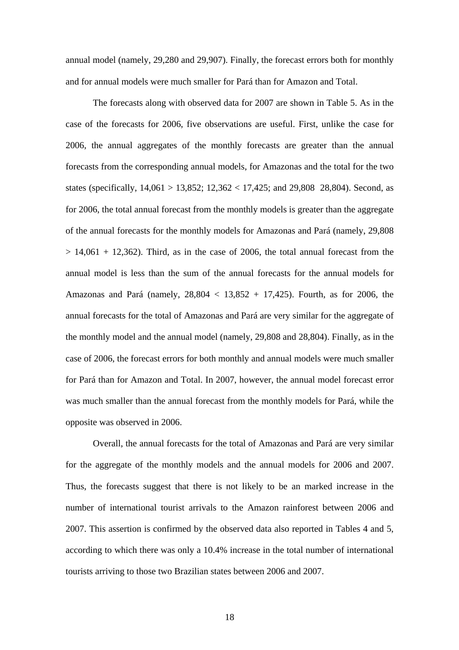annual model (namely, 29,280 and 29,907). Finally, the forecast errors both for monthly and for annual models were much smaller for Pará than for Amazon and Total.

The forecasts along with observed data for 2007 are shown in Table 5. As in the case of the forecasts for 2006, five observations are useful. First, unlike the case for 2006, the annual aggregates of the monthly forecasts are greater than the annual forecasts from the corresponding annual models, for Amazonas and the total for the two states (specifically, 14,061 > 13,852; 12,362 < 17,425; and 29,808 28,804). Second, as for 2006, the total annual forecast from the monthly models is greater than the aggregate of the annual forecasts for the monthly models for Amazonas and Pará (namely, 29,808  $> 14,061 + 12,362$ . Third, as in the case of 2006, the total annual forecast from the annual model is less than the sum of the annual forecasts for the annual models for Amazonas and Pará (namely,  $28,804 < 13,852 + 17,425$ ). Fourth, as for 2006, the annual forecasts for the total of Amazonas and Pará are very similar for the aggregate of the monthly model and the annual model (namely, 29,808 and 28,804). Finally, as in the case of 2006, the forecast errors for both monthly and annual models were much smaller for Pará than for Amazon and Total. In 2007, however, the annual model forecast error was much smaller than the annual forecast from the monthly models for Pará, while the opposite was observed in 2006.

Overall, the annual forecasts for the total of Amazonas and Pará are very similar for the aggregate of the monthly models and the annual models for 2006 and 2007. Thus, the forecasts suggest that there is not likely to be an marked increase in the number of international tourist arrivals to the Amazon rainforest between 2006 and 2007. This assertion is confirmed by the observed data also reported in Tables 4 and 5, according to which there was only a 10.4% increase in the total number of international tourists arriving to those two Brazilian states between 2006 and 2007.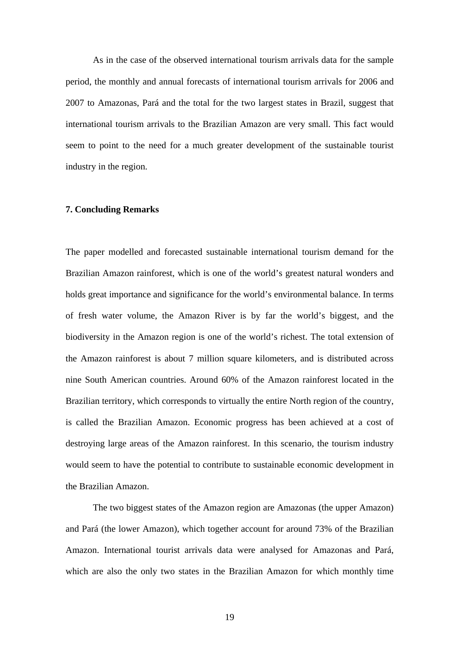As in the case of the observed international tourism arrivals data for the sample period, the monthly and annual forecasts of international tourism arrivals for 2006 and 2007 to Amazonas, Pará and the total for the two largest states in Brazil, suggest that international tourism arrivals to the Brazilian Amazon are very small. This fact would seem to point to the need for a much greater development of the sustainable tourist industry in the region.

#### **7. Concluding Remarks**

The paper modelled and forecasted sustainable international tourism demand for the Brazilian Amazon rainforest, which is one of the world's greatest natural wonders and holds great importance and significance for the world's environmental balance. In terms of fresh water volume, the Amazon River is by far the world's biggest, and the biodiversity in the Amazon region is one of the world's richest. The total extension of the Amazon rainforest is about 7 million square kilometers, and is distributed across nine South American countries. Around 60% of the Amazon rainforest located in the Brazilian territory, which corresponds to virtually the entire North region of the country, is called the Brazilian Amazon. Economic progress has been achieved at a cost of destroying large areas of the Amazon rainforest. In this scenario, the tourism industry would seem to have the potential to contribute to sustainable economic development in the Brazilian Amazon.

The two biggest states of the Amazon region are Amazonas (the upper Amazon) and Pará (the lower Amazon), which together account for around 73% of the Brazilian Amazon. International tourist arrivals data were analysed for Amazonas and Pará, which are also the only two states in the Brazilian Amazon for which monthly time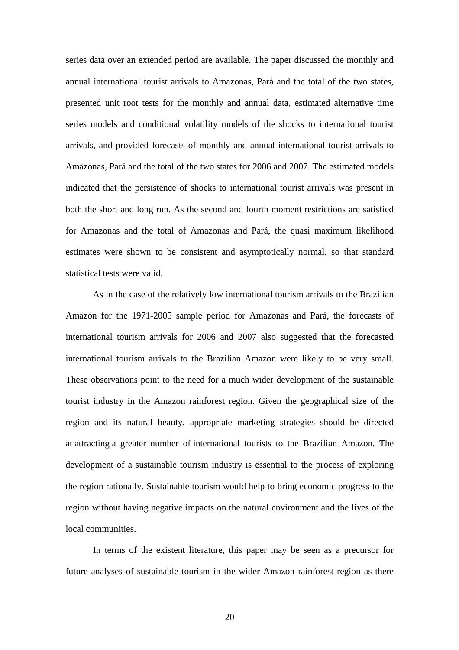series data over an extended period are available. The paper discussed the monthly and annual international tourist arrivals to Amazonas, Pará and the total of the two states, presented unit root tests for the monthly and annual data, estimated alternative time series models and conditional volatility models of the shocks to international tourist arrivals, and provided forecasts of monthly and annual international tourist arrivals to Amazonas, Pará and the total of the two states for 2006 and 2007. The estimated models indicated that the persistence of shocks to international tourist arrivals was present in both the short and long run. As the second and fourth moment restrictions are satisfied for Amazonas and the total of Amazonas and Pará, the quasi maximum likelihood estimates were shown to be consistent and asymptotically normal, so that standard statistical tests were valid.

As in the case of the relatively low international tourism arrivals to the Brazilian Amazon for the 1971-2005 sample period for Amazonas and Pará, the forecasts of international tourism arrivals for 2006 and 2007 also suggested that the forecasted international tourism arrivals to the Brazilian Amazon were likely to be very small. These observations point to the need for a much wider development of the sustainable tourist industry in the Amazon rainforest region. Given the geographical size of the region and its natural beauty, appropriate marketing strategies should be directed at attracting a greater number of international tourists to the Brazilian Amazon. The development of a sustainable tourism industry is essential to the process of exploring the region rationally. Sustainable tourism would help to bring economic progress to the region without having negative impacts on the natural environment and the lives of the local communities.

In terms of the existent literature, this paper may be seen as a precursor for future analyses of sustainable tourism in the wider Amazon rainforest region as there

20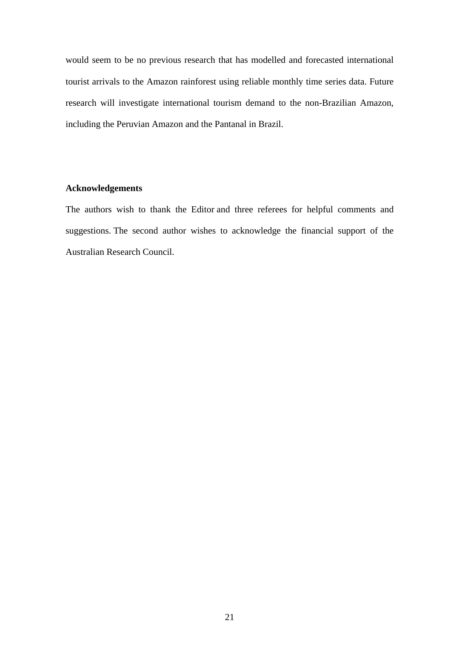would seem to be no previous research that has modelled and forecasted international tourist arrivals to the Amazon rainforest using reliable monthly time series data. Future research will investigate international tourism demand to the non-Brazilian Amazon, including the Peruvian Amazon and the Pantanal in Brazil.

# **Acknowledgements**

The authors wish to thank the Editor and three referees for helpful comments and suggestions. The second author wishes to acknowledge the financial support of the Australian Research Council.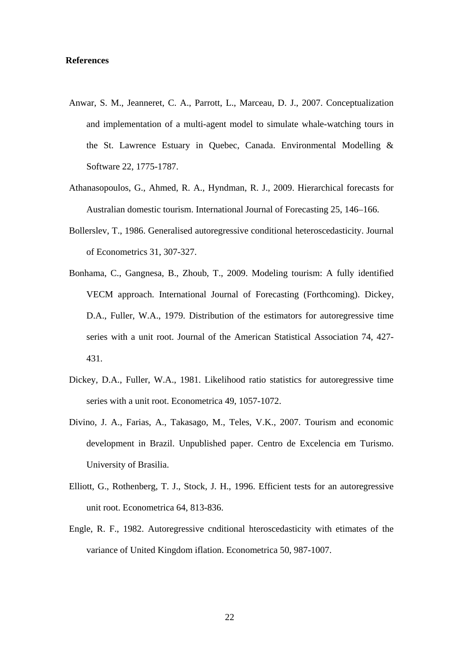## **References**

- Anwar, S. M., Jeanneret, C. A., Parrott, L., Marceau, D. J., 2007. Conceptualization and implementation of a multi-agent model to simulate whale-watching tours in the St. Lawrence Estuary in Quebec, Canada. Environmental Modelling & Software 22, 1775-1787.
- Athanasopoulos, G., Ahmed, R. A., Hyndman, R. J., 2009. Hierarchical forecasts for Australian domestic tourism. International Journal of Forecasting 25, 146–166.
- Bollerslev, T., 1986. Generalised autoregressive conditional heteroscedasticity. Journal of Econometrics 31, 307-327.
- Bonhama, C., Gangnesa, B., Zhoub, T., 2009. Modeling tourism: A fully identified VECM approach. International Journal of Forecasting (Forthcoming). Dickey, D.A., Fuller, W.A., 1979. Distribution of the estimators for autoregressive time series with a unit root. Journal of the American Statistical Association 74, 427- 431.
- Dickey, D.A., Fuller, W.A., 1981. Likelihood ratio statistics for autoregressive time series with a unit root. Econometrica 49, 1057-1072.
- Divino, J. A., Farias, A., Takasago, M., Teles, V.K., 2007. Tourism and economic development in Brazil. Unpublished paper. Centro de Excelencia em Turismo. University of Brasilia.
- Elliott, G., Rothenberg, T. J., Stock, J. H., 1996. Efficient tests for an autoregressive unit root. Econometrica 64, 813-836.
- Engle, R. F., 1982. Autoregressive cnditional hteroscedasticity with etimates of the variance of United Kingdom iflation. Econometrica 50, 987-1007.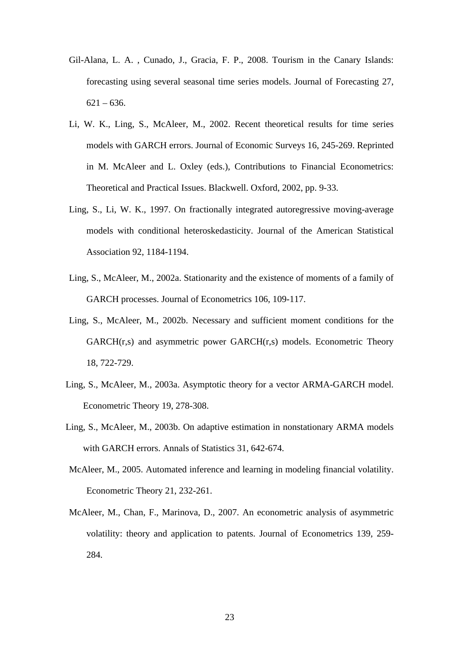- Gil-Alana, L. A. , Cunado, J., Gracia, F. P., 2008. Tourism in the Canary Islands: forecasting using several seasonal time series models. Journal of Forecasting 27,  $621 - 636.$
- Li, W. K., Ling, S., McAleer, M., 2002. Recent theoretical results for time series models with GARCH errors. Journal of Economic Surveys 16, 245-269. Reprinted in M. McAleer and L. Oxley (eds.), Contributions to Financial Econometrics: Theoretical and Practical Issues. Blackwell. Oxford, 2002, pp. 9-33.
- Ling, S., Li, W. K., 1997. On fractionally integrated autoregressive moving-average models with conditional heteroskedasticity. Journal of the American Statistical Association 92, 1184-1194.
- Ling, S., McAleer, M., 2002a. Stationarity and the existence of moments of a family of GARCH processes. Journal of Econometrics 106, 109-117.
- Ling, S., McAleer, M., 2002b. Necessary and sufficient moment conditions for the GARCH(r,s) and asymmetric power GARCH(r,s) models. Econometric Theory 18, 722-729.
- Ling, S., McAleer, M., 2003a. Asymptotic theory for a vector ARMA-GARCH model. Econometric Theory 19, 278-308.
- Ling, S., McAleer, M., 2003b. On adaptive estimation in nonstationary ARMA models with GARCH errors. Annals of Statistics 31, 642-674.
- McAleer, M., 2005. Automated inference and learning in modeling financial volatility. Econometric Theory 21, 232-261.
- McAleer, M., Chan, F., Marinova, D., 2007. An econometric analysis of asymmetric volatility: theory and application to patents. Journal of Econometrics 139, 259- 284.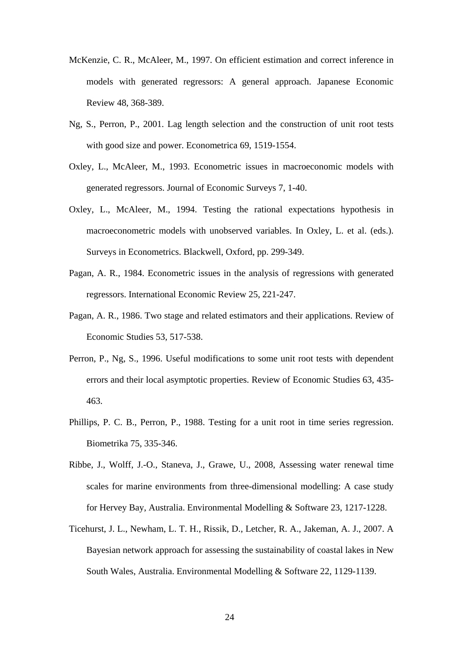- McKenzie, C. R., McAleer, M., 1997. On efficient estimation and correct inference in models with generated regressors: A general approach. Japanese Economic Review 48, 368-389.
- Ng, S., Perron, P., 2001. Lag length selection and the construction of unit root tests with good size and power. Econometrica 69, 1519-1554.
- Oxley, L., McAleer, M., 1993. Econometric issues in macroeconomic models with generated regressors. Journal of Economic Surveys 7, 1-40.
- Oxley, L., McAleer, M., 1994. Testing the rational expectations hypothesis in macroeconometric models with unobserved variables. In Oxley, L. et al. (eds.). Surveys in Econometrics. Blackwell, Oxford, pp. 299-349.
- Pagan, A. R., 1984. Econometric issues in the analysis of regressions with generated regressors. International Economic Review 25, 221-247.
- Pagan, A. R., 1986. Two stage and related estimators and their applications. Review of Economic Studies 53, 517-538.
- Perron, P., Ng, S., 1996. Useful modifications to some unit root tests with dependent errors and their local asymptotic properties. Review of Economic Studies 63, 435- 463.
- Phillips, P. C. B., Perron, P., 1988. Testing for a unit root in time series regression. Biometrika 75, 335-346.
- Ribbe, J., Wolff, J.-O., Staneva, J., Grawe, U., 2008, Assessing water renewal time scales for marine environments from three-dimensional modelling: A case study for Hervey Bay, Australia. Environmental Modelling & Software 23, 1217-1228.
- Ticehurst, J. L., Newham, L. T. H., Rissik, D., Letcher, R. A., Jakeman, A. J., 2007. A Bayesian network approach for assessing the sustainability of coastal lakes in New South Wales, Australia. Environmental Modelling & Software 22, 1129-1139.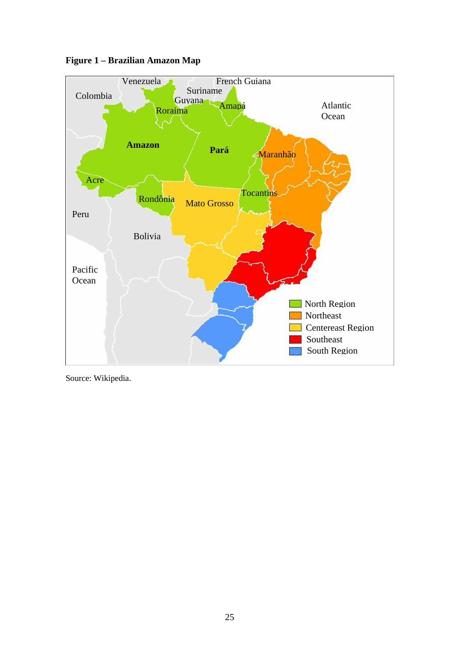

**Figure 1 – Brazilian Amazon Map** 

Source: Wikipedia.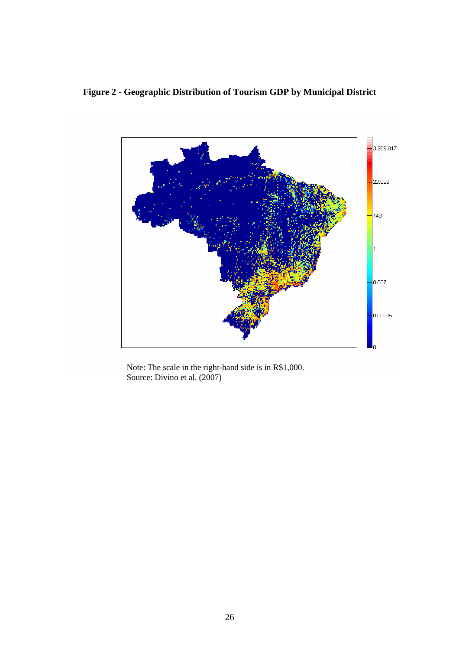# **Figure 2 - Geographic Distribution of Tourism GDP by Municipal District**



Note: The scale in the right-hand side is in R\$1,000. Source: Divino et al. (2007)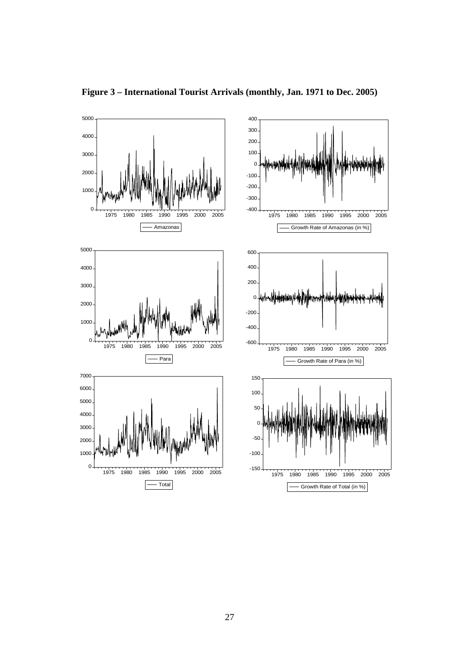

**Figure 3 – International Tourist Arrivals (monthly, Jan. 1971 to Dec. 2005)**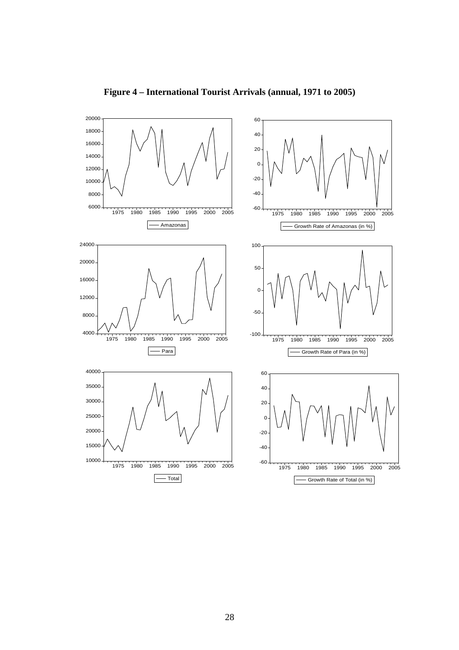

**Figure 4 – International Tourist Arrivals (annual, 1971 to 2005)**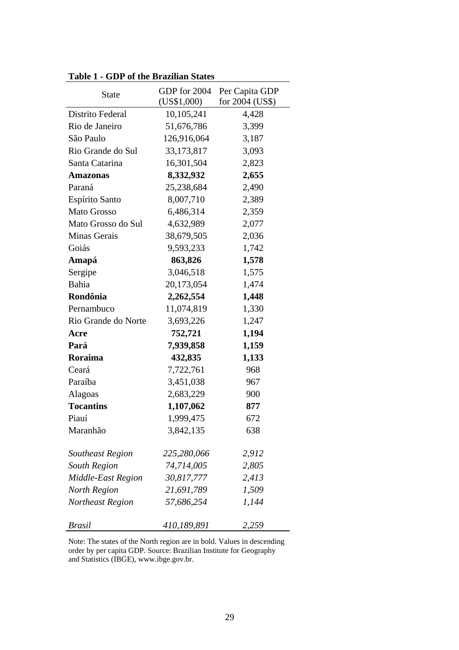| rabic 1 - ODI of the Drazman States |                             |                                   |  |  |
|-------------------------------------|-----------------------------|-----------------------------------|--|--|
| <b>State</b>                        | GDP for 2004<br>(US\$1,000) | Per Capita GDP<br>for 2004 (US\$) |  |  |
| Distrito Federal                    | 10,105,241                  | 4,428                             |  |  |
| Rio de Janeiro                      | 51,676,786                  | 3,399                             |  |  |
| São Paulo                           | 126,916,064                 | 3,187                             |  |  |
| Rio Grande do Sul                   | 33, 173, 817                | 3,093                             |  |  |
| Santa Catarina                      | 16,301,504                  | 2,823                             |  |  |
| <b>Amazonas</b>                     | 8,332,932                   | 2,655                             |  |  |
| Paraná                              | 25,238,684                  | 2,490                             |  |  |
| Espírito Santo                      | 8,007,710                   | 2,389                             |  |  |
| <b>Mato Grosso</b>                  | 6,486,314                   | 2,359                             |  |  |
| Mato Grosso do Sul                  | 4,632,989                   | 2,077                             |  |  |
| Minas Gerais                        | 38,679,505                  | 2,036                             |  |  |
| Goiás                               | 9,593,233                   | 1,742                             |  |  |
| Amapá                               | 863,826                     | 1,578                             |  |  |
| Sergipe                             | 3,046,518                   | 1,575                             |  |  |
| Bahia                               | 20,173,054                  | 1,474                             |  |  |
| Rondônia                            | 2,262,554                   | 1,448                             |  |  |
| Pernambuco                          | 11,074,819                  | 1,330                             |  |  |
| Rio Grande do Norte                 | 3,693,226                   | 1,247                             |  |  |
| Acre                                | 752,721                     | 1,194                             |  |  |
| Pará                                | 7,939,858                   | 1,159                             |  |  |
| Roraima                             | 432,835                     | 1,133                             |  |  |
| Ceará                               | 7,722,761                   | 968                               |  |  |
| Paraíba                             | 3,451,038                   | 967                               |  |  |
| Alagoas                             | 2,683,229                   | 900                               |  |  |
| <b>Tocantins</b>                    | 1,107,062                   | 877                               |  |  |
| Piauí                               | 1,999,475                   | 672                               |  |  |
| Maranhão                            | 3,842,135                   | 638                               |  |  |
| <b>Southeast Region</b>             | 225,280,066                 | 2,912                             |  |  |
| <b>South Region</b>                 | 74,714,005                  | 2,805                             |  |  |
| Middle-East Region                  | 30,817,777                  | 2,413                             |  |  |
| <b>North Region</b>                 | 21,691,789                  | 1,509                             |  |  |
| Northeast Region                    | 57,686,254                  | 1,144                             |  |  |
| <b>Brasil</b>                       | 410,189,891                 | 2,259                             |  |  |

**Table 1 - GDP of the Brazilian States** 

Note: The states of the North region are in bold. Values in descending order by per capita GDP. Source: Brazilian Institute for Geography and Statistics (IBGE), www.ibge.gov.br.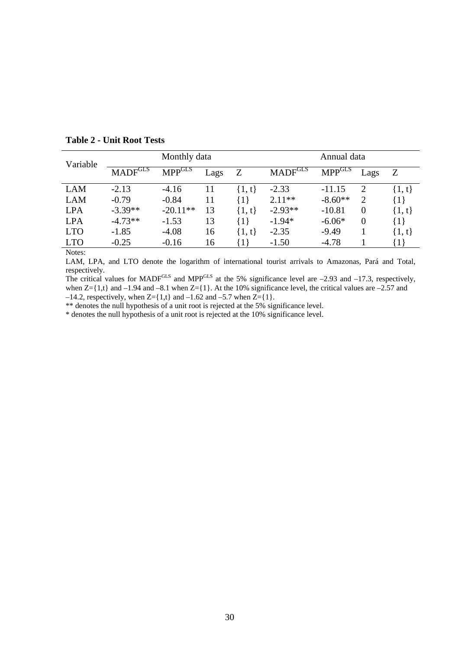| Variable     | Monthly data                          |                |      |            | Annual data                 |                                      |                |            |
|--------------|---------------------------------------|----------------|------|------------|-----------------------------|--------------------------------------|----------------|------------|
|              | $\text{MADF}^{\overline{\text{GLS}}}$ | <b>MPP</b> GLS | Lags | Z          | $\rm MADF^{\overline{GLS}}$ | $\text{MPP}^{\overline{\text{GLS}}}$ | Lags           | Z          |
| <b>LAM</b>   | $-2.13$                               | $-4.16$        | 11   | $\{1, t\}$ | $-2.33$                     | $-11.15$                             | 2              | $\{1, t\}$ |
| <b>LAM</b>   | $-0.79$                               | $-0.84$        | 11   | $\{1\}$    | $2.11**$                    | $-8.60**$                            | $\overline{2}$ | $\{1\}$    |
| <b>LPA</b>   | $-3.39**$                             | $-20.11**$     | 13   | $\{1, t\}$ | $-2.93**$                   | $-10.81$                             | $\Omega$       | $\{1, t\}$ |
| <b>LPA</b>   | $-4.73**$                             | $-1.53$        | 13   | $\{1\}$    | $-1.94*$                    | $-6.06*$                             | $\overline{0}$ | ${1}$      |
| <b>LTO</b>   | $-1.85$                               | $-4.08$        | 16   | $\{1, t\}$ | $-2.35$                     | $-9.49$                              |                | $\{1, t\}$ |
| <b>LTO</b>   | $-0.25$                               | $-0.16$        | 16   | $\{1\}$    | $-1.50$                     | $-4.78$                              |                | $\{1\}$    |
| $\mathbf{M}$ |                                       |                |      |            |                             |                                      |                |            |

**Table 2 - Unit Root Tests** 

Notes:

LAM, LPA, and LTO denote the logarithm of international tourist arrivals to Amazonas, Pará and Total, respectively.

The critical values for MADF<sup>GLS</sup> and MPP<sup>GLS</sup> at the 5% significance level are  $-2.93$  and  $-17.3$ , respectively, when  $Z = \{1, t\}$  and  $-1.94$  and  $-8.1$  when  $Z = \{1\}$ . At the 10% significance level, the critical values are  $-2.57$  and  $-14.2$ , respectively, when  $Z = \{1,t\}$  and  $-1.62$  and  $-5.7$  when  $Z = \{1\}$ .

\*\* denotes the null hypothesis of a unit root is rejected at the 5% significance level.

\* denotes the null hypothesis of a unit root is rejected at the 10% significance level.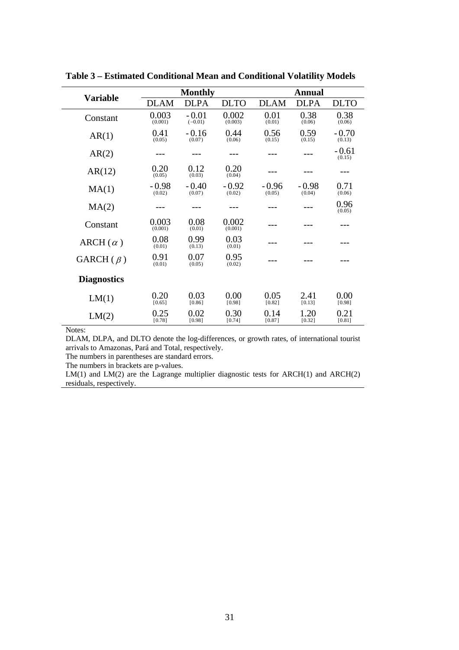| <b>Variable</b>    |                   | <b>Monthly</b>       |                   | Annual            |                   |                   |  |
|--------------------|-------------------|----------------------|-------------------|-------------------|-------------------|-------------------|--|
|                    | <b>DLAM</b>       | <b>DLPA</b>          | <b>DLTO</b>       | <b>DLAM</b>       | <b>DLPA</b>       | <b>DLTO</b>       |  |
| Constant           | 0.003<br>(0.001)  | $-0.01$<br>$(-0.01)$ | 0.002<br>(0.003)  | 0.01<br>(0.01)    | 0.38<br>(0.06)    | 0.38<br>(0.06)    |  |
| AR(1)              | 0.41<br>(0.05)    | $-0.16$<br>(0.07)    | 0.44<br>(0.06)    | 0.56<br>(0.15)    | 0.59<br>(0.15)    | $-0.70$<br>(0.13) |  |
| AR(2)              |                   |                      |                   |                   |                   | $-0.61$<br>(0.15) |  |
| AR(12)             | 0.20<br>(0.05)    | 0.12<br>(0.03)       | 0.20<br>(0.04)    |                   |                   |                   |  |
| MA(1)              | $-0.98$<br>(0.02) | $-0.40$<br>(0.07)    | $-0.92$<br>(0.02) | $-0.96$<br>(0.05) | $-0.98$<br>(0.04) | 0.71<br>(0.06)    |  |
| MA(2)              |                   |                      |                   |                   |                   | 0.96<br>(0.05)    |  |
| Constant           | 0.003<br>(0.001)  | 0.08<br>(0.01)       | 0.002<br>(0.001)  |                   |                   |                   |  |
| $ARCH(\alpha)$     | 0.08<br>(0.01)    | 0.99<br>(0.13)       | 0.03<br>(0.01)    |                   |                   |                   |  |
| GARCH $(\beta)$    | 0.91<br>(0.01)    | 0.07<br>(0.05)       | 0.95<br>(0.02)    |                   |                   |                   |  |
| <b>Diagnostics</b> |                   |                      |                   |                   |                   |                   |  |
| LM(1)              | 0.20<br>[0.65]    | 0.03<br>[0.86]       | 0.00<br>[0.98]    | 0.05<br>[0.82]    | 2.41<br>[0.13]    | 0.00<br>[0.98]    |  |
| LM(2)              | 0.25<br>[0.78]    | 0.02<br>[0.98]       | 0.30<br>[0.74]    | 0.14<br>[0.87]    | 1.20<br>[0.32]    | 0.21<br>[0.81]    |  |

**Table 3 – Estimated Conditional Mean and Conditional Volatility Models** 

Notes:

DLAM, DLPA, and DLTO denote the log-differences, or growth rates, of international tourist arrivals to Amazonas, Pará and Total, respectively.

The numbers in parentheses are standard errors.

The numbers in brackets are p-values.

LM(1) and LM(2) are the Lagrange multiplier diagnostic tests for ARCH(1) and ARCH(2) residuals, respectively.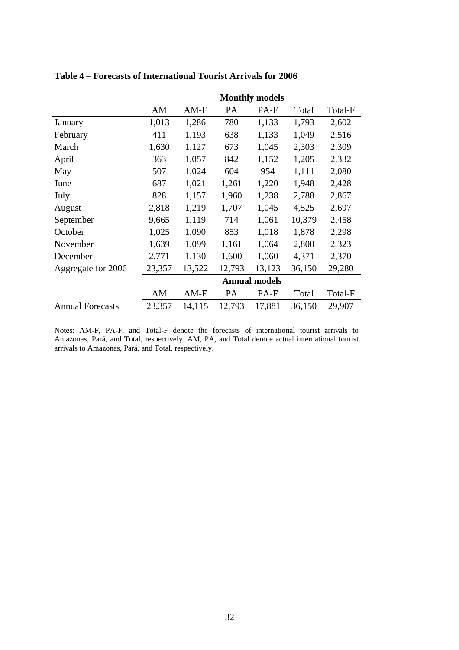|                         | <b>Monthly models</b> |        |           |        |        |         |  |
|-------------------------|-----------------------|--------|-----------|--------|--------|---------|--|
|                         | AM                    | $AM-F$ | <b>PA</b> | PA-F   | Total  | Total-F |  |
| January                 | 1,013                 | 1,286  | 780       | 1,133  | 1,793  | 2,602   |  |
| February                | 411                   | 1,193  | 638       | 1,133  | 1,049  | 2,516   |  |
| March                   | 1,630                 | 1,127  | 673       | 1,045  | 2,303  | 2,309   |  |
| April                   | 363                   | 1,057  | 842       | 1,152  | 1,205  | 2,332   |  |
| May                     | 507                   | 1,024  | 604       | 954    | 1,111  | 2,080   |  |
| June                    | 687                   | 1,021  | 1,261     | 1,220  | 1,948  | 2,428   |  |
| July                    | 828                   | 1,157  | 1,960     | 1,238  | 2,788  | 2,867   |  |
| August                  | 2,818                 | 1,219  | 1,707     | 1,045  | 4,525  | 2,697   |  |
| September               | 9,665                 | 1,119  | 714       | 1,061  | 10,379 | 2,458   |  |
| October                 | 1,025                 | 1,090  | 853       | 1,018  | 1,878  | 2,298   |  |
| November                | 1,639                 | 1,099  | 1,161     | 1,064  | 2,800  | 2,323   |  |
| December                | 2,771                 | 1,130  | 1,600     | 1,060  | 4,371  | 2,370   |  |
| Aggregate for 2006      | 23,357                | 13,522 | 12,793    | 13,123 | 36,150 | 29,280  |  |
|                         | <b>Annual models</b>  |        |           |        |        |         |  |
|                         | AM                    | $AM-F$ | PA        | PA-F   | Total  | Total-F |  |
| <b>Annual Forecasts</b> | 23,357                | 14,115 | 12,793    | 17,881 | 36,150 | 29,907  |  |

**Table 4 – Forecasts of International Tourist Arrivals for 2006** 

Notes: AM-F, PA-F, and Total-F denote the forecasts of international tourist arrivals to Amazonas, Pará, and Total, respectively. AM, PA, and Total denote actual international tourist arrivals to Amazonas, Pará, and Total, respectively.